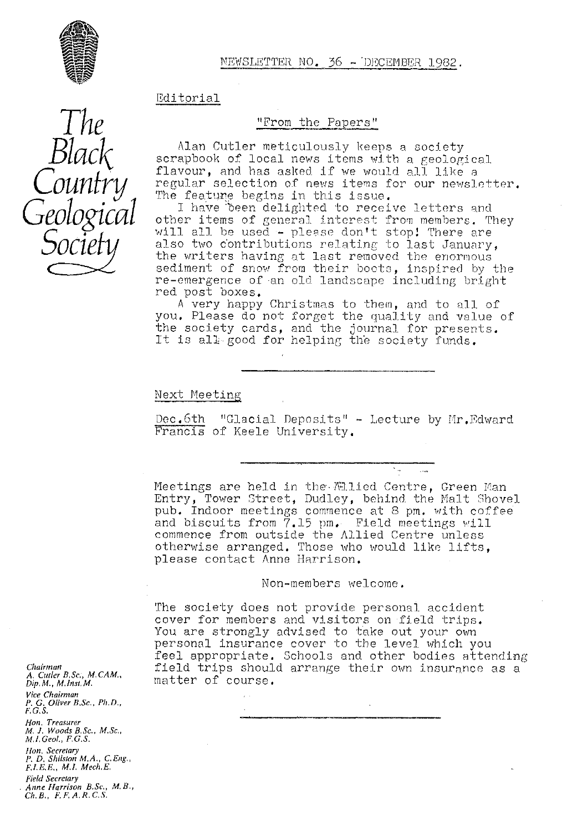

NEWSLETTER NO. 36 - DECEMBER 1982.

### Editorial

"From the Papers"

Alan Cutler meticulously keeps a society scrapbook of local news items with a geological flavour, and has asked if we would all like regular selection of news items for our newsletter. The feature begins in this issue.

I have been delighted to receive letters and other items of general interest from members. They will all be used - please don't stop! There are also two contributions relating to last January, the writers having at last removed the enormous sediment of snow from their boots, inspired by the re-emergence of an old landscape including bright red post boxes.

A very happy Christmas to them, and to all of you. Please do not forget the quality and value of the society cards, and the journal for presents. It is all good for helping the society funds.

Next Meeting

Dec.6th "Glacial Deposits" - Lecture by Mr.Edward Francis of Keele University.

Meetings are held in the  $\mathbb{M}$ lied Centre, Green Man Entry, Tower Street, Dudley, behind the Malt Shovel pub. Indoor meetings commence at 8 pm. with coffee and biscuits from 7.15 pm. Field meetings will commence from outside the Allied Centre unless otherwise arranged. Those who would like lifts, please contact Anne Harrison.

Non-members welcome.

The society does not provide personal accident cover for members and visitors on field trips. You are strongly advised to take out your own personal insurance cover to the level which you feel appropriate. Schools and other bodies attending field trips should arrange their own insurance as a matter of course.

Chairman *A. Cutler B,Sc,, M. CAM" Dip, M. M.lnst. M. Vice Chairman P. G. Oliver B,Sc., Ph. D., F. G.S.* Hon, Treasurer<br>M. J. Wood<u>s</u> B.Sc., M.Sc. *M,l,Geol., F.G.S.* lion. Secreta*ry P. D. Shilston M.A., C.Eng.*, *FLEE., M./. Mech,E,*

*Field Secretary Anne (-[err/son B.Sc,, M.B., Ch. B., F. F. A. R.C. S.*

*The Black Country Geological* Sochi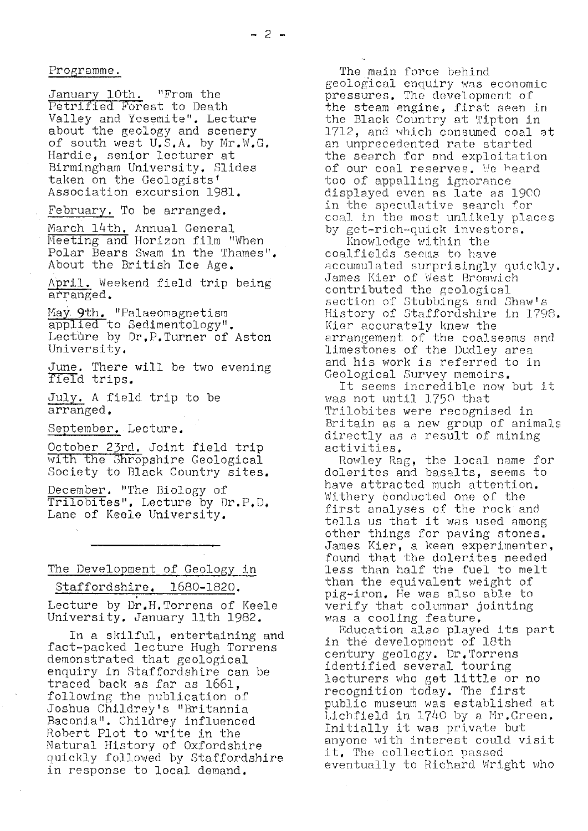Programme.

January 10th. "From the Petrified Forest to Death Valley and Yosemite". Lecture about the geology and scenery of south west  $U_{\bullet}S_{\bullet}A_{\bullet}$  by Mr.W.G, Hardie, senior lecturer at Birmingham University. Slides taken on the Geologists' Association excursion 1981.

February. To be arranged.

March 14th. Annual General Meeting and Horizon film "When Polar Bears Swam in the Thames" About the British Ice Age.

April. Weekend field trip being arranged.

May 9th. "Palaeomagnetism applied to Sedimentology". Lecture by Dr.P.Turner of Aston University.

June. There will be two evening field trips.

July. A field trip to be arranged.

September.. Lecture.

October 23rd. Joint field trip with the Shropshire Geological Society to Black Country sites.

December. "The Biology of Trilobites". Lecture by Dr.P.D. Lane of Keele University.

# The Development of Geology in

Staffordshire. 1680-1820.

Lecture by Dr.H.Torrens of Keele University. January 11th 1982.

In a skilful, entertaining and fact-packed lecture Hugh Torrens demonstrated that geological enquiry in Staffordshire can be traced back as far as 1661, following the publication of Joshua Childrey's "Britannia Baconia". Childrey influenced Robert Plot to write in the Natural History of Oxfordshire quickly followed by Staffordshire in response to local demand.

The main force behind geological enquiry was economic pressures. The development of the steam engine, first seen in the Black Country at Tipton in 1712, and which consumed coal at an unprecedented rate started, *the search for* and exploitation *of our coal reserves, he heard* too of appalling ignorance displayed even as late as 1900 in the speculative search for coal in the most unlikely places by get-rich-quick investors.

Knowledge within the coalfields seems to have accumulated surprisingly quickly. James Kier of West Bromwich contributed the geological section of Stubbings and Shaw's History of Staffordshire in 1798. Kier accurately knew the arrangement of the coalseams and limestones of the Dudley area and his work is referred to in Geological Survey memoirs.

It seems incredible now but it was not until 1750 that Trilobites were recognised in Britain as a new group of animals directly as a result of mining activities.

Rowley Rag, the local name for dolerites and basalts, seems to *have* attracted much attention. Withery conducted one of the first analyses of the rock and tells us that it was used among other things for paving stones. James Kier, a keen experimenter, found that the dolerites needed less than *half the fuel to melt* than the equivalent weight of pig-iron. He was also able to verify that columnar jointing was a cooling feature.

Education also played its part in the development of 18th century geology. Dr. Torrens identified several touring lecturers who get little or no recognition today. The first public museum was established at Lichfield in 1740 by a Mr.Green. Initially it was private but anyone with interest could visit it. The collection passed eventually to Richard. Wright who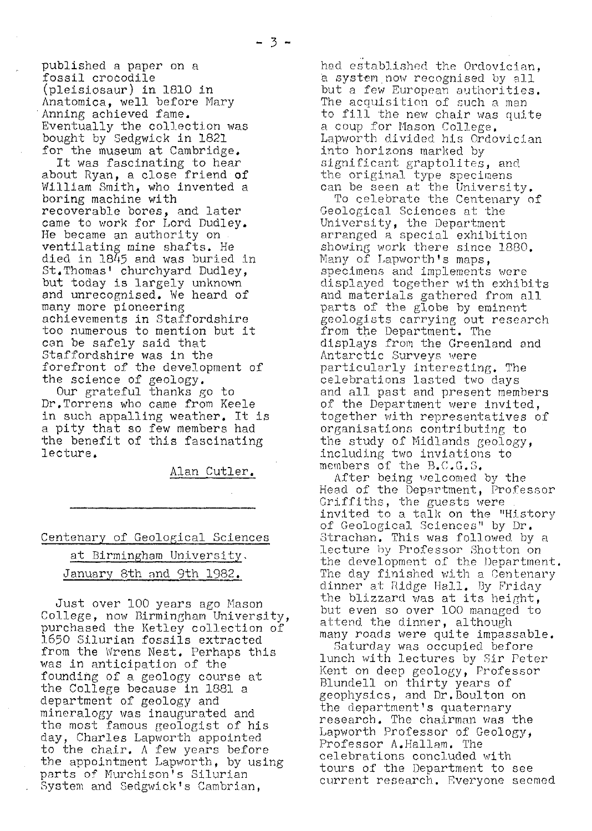published a paper on a fossil crocodile (pleisiosaur) in 1810 in Anatomica, well before Mary Anning achieved fame. Eventually the collection was bought by edgwick in 1821 for the museum at Cambridge.

It was fascinating to hear about Ryan, a close friend of William Smith, who invented a boring machine with recoverable bores, and later came to work for Lord Dudley. He became an authority on ventilating mine shafts. He died in 1845 and was buried in St.Thomas' churchyard Dudley, but today is largely unknown and unrecognised. We heard of many more pioneering achievements in Staffordshire too numerous to mention but it can be safely said that Staffordshire was in the forefront of the development of the science of geology.

Our grateful thanks go to Dr.Torrens who came from Keele in such appalling weather. It is a pity that so few members had the benefit of this fascinating lecture.

Alan Cutler.

# Centenary of Geological Sciences at Birmingham University. January 8th and 9th 1982.

Just over 100 years ago Mason College, now Birmingham University, purchased the Ketley collection of 1.650 Silurian fossils extracted from the Wrens Nest. Perhaps this was in anticipation of the founding of a. geology course at the College because in 1381 a department of geology and mineralogy was inaugurated and the most famous geologist of his day, Charles Lapworth appointed to the chair. A few years before the appointment Lapworth, by using parts of Murchison's Silurian System and Sedgwick's Cambrian,

had established the Ordovician, a system now recognised by all but a few European authorities. The acquisition of such a man to fill the new chair was quite a coup for Mason College. *Lapworth divided his* Ordovician into horizons marked by significant graptolites, and the original type specimens can be seen at the University.

To celebrate the Centenary of Geological Sciences at the University, the Department arranged a special exhibition showing work there since 1880. Many of Lapworth's maps, specimens and implements were displayed together with exhibits and materials gathered from all parts of the globe by eminent geologists carrying out research from the Department. The displays from the Greenland and Antarctic Surveys were particularly interesting. The celebrations lasted two days and all past and present members of the Department were invited, together with representatives of organisations contributing to the study of Midlands geology, including two inviations to members of the  $B_*(C, G, S)$ 

After being welcomed by the Head of the Deportment, Professor Griffiths, the guests were invited to a talk on the "History *of Geological Sciences" by Dr.* Strachan. This was followed, by a lecture by Professor Shotton on the development of the Department. The day finished with a Centenary dinner at Ridge Hall. By Friday the blizzard was at its height, but even so over 100 managed to attend the dinner, although many roads were quite impassable.

Saturday was occupied before lunch with lectures by Sir Peter Kent on deep geology, Professor Blundell on thirty years of geophysics, and Dr.Boulton on the department's quaternary research. The chairman was the Lapworth Professor of Geology, Professor A.Hallam. The celebrations concluded with tours of the Department to see current research. Everyone seemed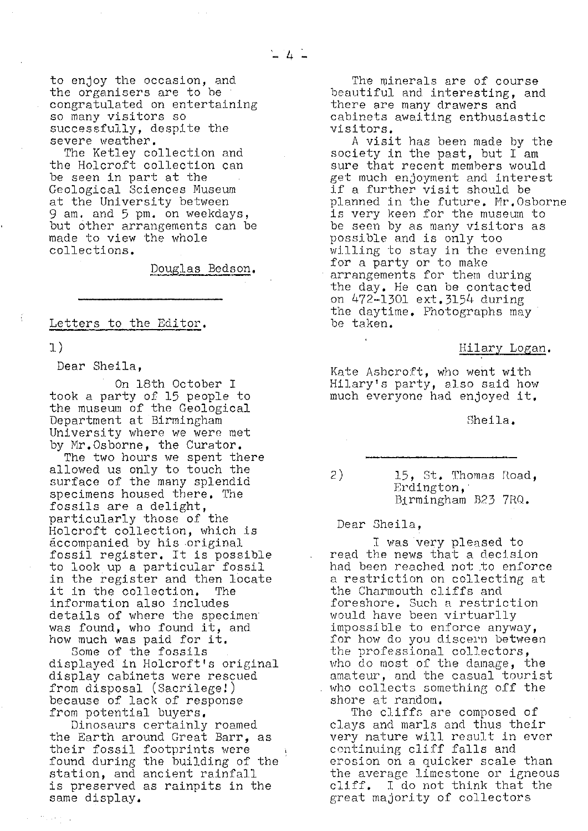to enjoy the occasion, and the organisers are to be congratulated on entertaining so many visitors so successfully, despite the severe weather.

The Ketley collection and the Holcroft collection can be seen in part at the Geological Sciences Museum at the University between 9 am. and 5 pm. on weekdays, but other arrangements can be made to view the whole collections.

Douglas Bedson .

Letters to the Editor.

1)

Dear Sheila,

On 18th October I took a party of 15 people to the museum of the Geological Department at Birmingham University where we were met by Mr.Osborne, the Curator.

The two hours we spent there allowed us only to touch the surface of the many splendid specimens housed there. The fossils are a delight, particularly those of the Holcroft collection, which is accompanied by his original fossil register. It is possible<br>to look up a particular fossil in the register and then locate<br>it in the collection. The it in the collection. information also includes details of where the specimen was found, who found it, and how much was paid for it.

Some of the fossils displayed in Holcroft's original display cabinets were rescued from disposal (Sacrilege!) because of lack of response from potential buyers.

Dinosaurs certainly roamed the Earth around Great Barr, as their fossil footprints were found during the building of the station, and ancient rainfall is preserved as rainpits in the same display.

The minerals are of course beautiful and interesting, and there are many drawers and cabinets awaiting enthusiastic visitors.

A visit has been made by the society in the past, but I am sure that recent members would get much enjoyment and interest if a further visit should be planned in the future. Nr.Osborne is very keen for the museum to be seen by as many visitors as possible and is only too willing to stay in the evening for a party or to make arrangements for them during the day. He can be contacted on 472-1301 ext.3154 during the daytime. Photographs may be taken.

### Hilary Logan .

Kate Ashcroft, who went with Hilary's party, also said how much everyone had enjoyed it.

Sheila.

2) 15, St. Thomas Road, Erdington, Birmingham B23 7R0.

Dear Sheila,

I was very pleased to read the news that a decision had been reached not to enforce a restriction on collecting at the Charmouth cliffs and foreshore. Such a restriction would have been virtuarlly impossible to enforce anyway, for how do you discern between the professional collectors, who do most of the damage, the amateur, and the casual tourist who collects something off the shore at random.

The cliffs are composed of clays and marls and thus their very nature will result in ever continuing cliff falls and erosion on a quicker scale than the average limestone or igneous cliff. I do not think that the great majority of collectors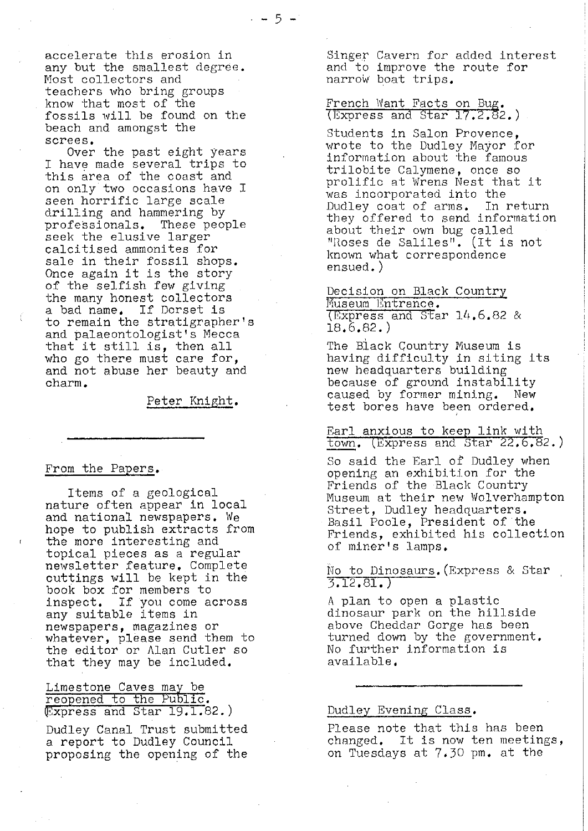accelerate this erosion in any but the smallest degree. Most collectors and teachers who bring groups know that most of the fossils will be found on the beach and amongst the screes.

Over the past eight years I have made several trips to this area of the coast and on only two occasions have I seen horrific large scale drilling and hammering by professionals. These people seek the elusive larger calcitised ammonites for sale in their fossil shops. Once again it is the story of the selfish few giving the many honest collectors a bad name. If Dorset is to remain the stratigrapher's and palaeontologist's Mecca that it still is, then all who go there must care for, and not abuse her beauty and charm.

Peter Knight .

### From the Papers .

Items of a geological nature often appear in local and national newspapers. We hope to publish extracts from the more interesting and topical pieces as a regular newsletter feature, Complete cuttings will be kept in the book box for members to inspect. If you come across any suitable items in newspapers, magazines or whatever, please send them to the editor or Alan Cutler so that they may be included.

Limestone Caves may be reopened to the Public. Express and Star 19.1.82.)

Dudley Canal Trust submitted a report to Dudley Council proposing the opening of the

Singer Cavern for added interest and to improve the route for narrow boat trips.

marrow boat trips.<br>French Want Facts on Bug.<br>(Express and Star 17.2.82.)

Students in Salon Provence, wrote to the Dudley Mayor for information about the famous trilobite Calymene, once so prolific at Wrens Nest that it was incorporated into the<br>Dudley coat of arms. In return Dudley coat of arms. they offered to send information about their own bug called "hoses de Saliles". (It is not known what correspondence ensued.)

Decision on Black Country Museum Entrance. Express and Star 14.6.82 & 18.6.82.)

The Black Country Museum is having difficulty in siting its new headquarters building because of ground instability<br>caused by former mining. New caused by former mining. test bores have been ordered.

Earl anxious to keep link with  $town.$  (Express and Star 22.6.82.)

So said the Earl of Dudley when opening an exhibition for the Friends of the Black Country Museum at their new Wolverhampton Street, Dudley headquarters. Basil Poole, President of the Friends, exhibited his collection of miner's lamps.

No to Dinosaurs. (Express & Star 5. 12.81.)

A plan to open a plastic dinosaur park on the hillside above Cheddar Gorge has been turned down by the government. No further information is available.

### Dudley Evening Class .

Please note that this has been changed. It is now ten meetings, on Tuesdays at 7.30 pm. at the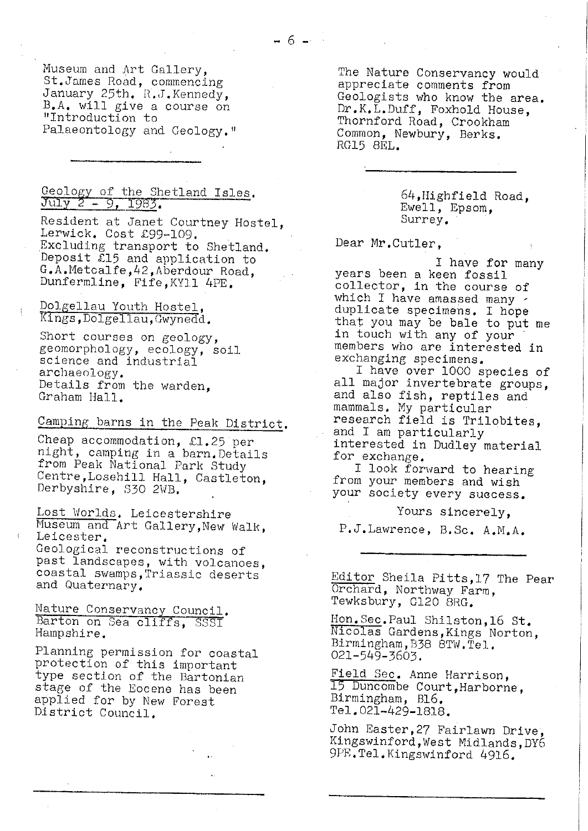Museum and Art Gallery, St.James Road, commencing January 25th, R.J.Kennedy, B.A, will give a course on "Introduction to Palaeontology and Geology."

# Geology of the Shetland Isles.<br>July 2 - 9, 1983.

Resident at Janet Courtney Hostel, Lerwick. Cost £99.-l09. Excluding transport to Shetland. Deposit £15 and application to G.A.Metcalfe,42,Aberdour Road, Dunfermline, Fife,KY11 4PE.

Dolgellau Youth Hostel, Kings, Dolgellau, Gwynedd.

Short courses on geology, geomorphology, ecology, soil science and industrial archaeology. Details from the warden, Graham Hall.

# Camping barns in the Peak District.

Cheap accommodation, £1.25 per night, camping in a barn.Details from Peak National Park Study Centre,Losehill Hall, Castleton, Derbyshire, 330 2WB.

Lost Worlds, Leicestershire Museum and Art Gallery,New Walk, Leicester. Geological reconstructions of

past landscapes, with volcanoes, and Quaternary,

coastal swamps,Triassic deserts<br>and Quaternary.<br>Nature Conservancy Council.<br>Barton on Sea cliffs, SSSI<br>Hampshire. Nature Conservancy Council.<br>Barton on Sea cliffs, SSSI Hampshire.

Planning permission for coastal protection of this important type section of the Bartonian stage of the Eocene has been *applied for by* New Forest District Council.

The Nature Conservancy would appreciate comments from Geologists who know the area. Dr.K.L.Duff, Foxhold House, Thornford Road, Crookham Common, Newbury, Berks. RG15 8EL.

> 64,IHighfield Road, Ewell, Epsom, Surrey.

Dear Mr.Cutler,

I have for many years been a keen fossil collector, in the course of *which I have amassed* many duplicate specimens. I hope that you may be bale to put me in touch with any of your members who are interested in exchanging specimens,

I have over 1000 species of all major invertebrate groups, and also fish, reptiles and mammals. My particular research field is Trilobites, and I am particularly interested in *Dudley material* for exchange.

I look forward to hearing from your members and wish your society every success.

Yours sincerely,

P.J.Lawrence, B.Sc, A.M.A.

Editor Sheila Pitts,17 The Pear Orchard, Northway Farm, Tewksbury, G120 8RG.

Hon.Sec.Paul Shilston,16 St. Nicolas Gardens, Kings Norton, Birmingham, B38 BTW.Ted.. 021-549-3603.

Field Sec, Anne Harrison, 15 buncombe Court,Harborne, Birmingham, B16. Tel. 021-429.1818.

John Easter,27 Fairlawn Drive, Kingswinford,West Midlands,DY6 9PE.Tel.Kingswinford 4916.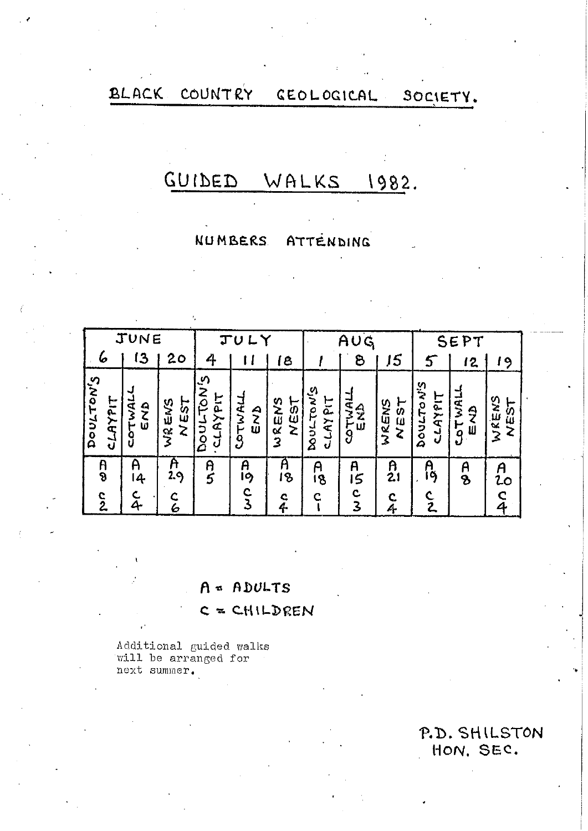#### BLACK COUNTRY CEOLOGICAL SOCIETY.

### GUIDED WALKS 1982.

#### **NUMBERS** ATTENDING

| JUNE      |                         |                                                              |                       |                                                     | $\mathbf{T} \mathbf{U}$<br>L |                                                        |                                                | AUG                                                |                      | SEP                              |                      |               |  |  |  |  |
|-----------|-------------------------|--------------------------------------------------------------|-----------------------|-----------------------------------------------------|------------------------------|--------------------------------------------------------|------------------------------------------------|----------------------------------------------------|----------------------|----------------------------------|----------------------|---------------|--|--|--|--|
| ø         |                         | $\sqrt{3}$                                                   | 20                    | 4                                                   |                              | C                                                      |                                                | පි                                                 | 5                    | 5                                | 12                   | 9             |  |  |  |  |
| Dourton's | LIJKH77                 | COTWAL<br><b>GND</b>                                         | ろみ かえん<br><b>NEST</b> | ري<br><b>NQ1</b><br><b>CLAYPIT</b><br><b>Doul-1</b> | COTWALL<br>END               | ENS<br>EST<br>Ż<br>$\alpha$<br>$\overline{\mathbf{3}}$ | ري<br>i<br>P<br><b>S-LAYPIT</b><br><b>Noic</b> | $\sim$<br>ਵੱ<br>$\frac{\Delta}{Z}$<br>א∓<br>9<br>W | WRENS<br><b>NEST</b> | <b>S.IN</b><br>CLAYPIT<br>DOULTO | <b>LAWTOJ</b><br>せんこ | WRENS<br>NEST |  |  |  |  |
|           | R<br>৪<br>$\frac{c}{2}$ | ĥ<br>A<br>5<br>A<br>A<br>2.9<br>19<br>14<br>C<br>3<br>Ā<br>6 |                       | A<br>18<br>$\frac{c}{4}$                            | A<br>18<br>Ċ                 | A<br>5<br>c<br>3                                       | $\frac{a}{2}$<br>c<br>4                        | Ą<br>9<br>ž                                        | A<br>$\mathbf{B}$    | A<br>20<br>C<br>4                |                      |               |  |  |  |  |

# $A = ADULTS$

# $C = CHILDEREN$

Additional guided walks<br>will be arranged for next summer.

 $\bar{r}_i$ 

P.D. SHILSTON HON. SEC.